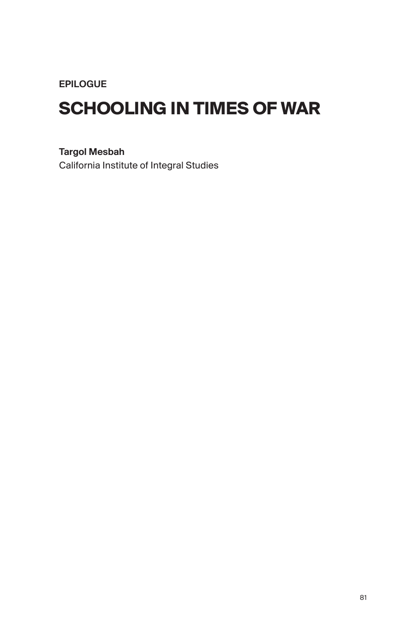EPILOGUE

## **SCHOOLING IN TIMES OF WAR**

Targol Mesbah

California Institute of Integral Studies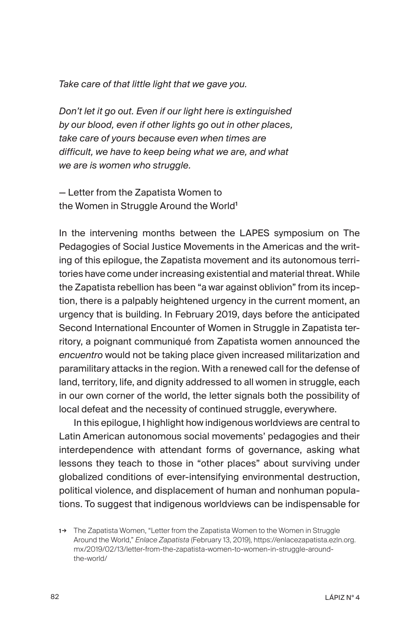*Take care of that little light that we gave you.*

*Don't let it go out. Even if our light here is extinguished by our blood, even if other lights go out in other places, take care of yours because even when times are difficult, we have to keep being what we are, and what we are is women who struggle.*

— Letter from the Zapatista Women to the Women in Struggle Around the World<sup>1</sup>

In the intervening months between the LAPES symposium on The Pedagogies of Social Justice Movements in the Americas and the writing of this epilogue, the Zapatista movement and its autonomous territories have come under increasing existential and material threat. While the Zapatista rebellion has been "a war against oblivion" from its inception, there is a palpably heightened urgency in the current moment, an urgency that is building. In February 2019, days before the anticipated Second International Encounter of Women in Struggle in Zapatista territory, a poignant communiqué from Zapatista women announced the *encuentro* would not be taking place given increased militarization and paramilitary attacks in the region. With a renewed call for the defense of land, territory, life, and dignity addressed to all women in struggle, each in our own corner of the world, the letter signals both the possibility of local defeat and the necessity of continued struggle, everywhere.

In this epilogue, I highlight how indigenous worldviews are central to Latin American autonomous social movements' pedagogies and their interdependence with attendant forms of governance, asking what lessons they teach to those in "other places" about surviving under globalized conditions of ever-intensifying environmental destruction, political violence, and displacement of human and nonhuman populations. To suggest that indigenous worldviews can be indispensable for

<sup>1</sup>→ The Zapatista Women, "Letter from the Zapatista Women to the Women in Struggle Around the World," *Enlace Zapatista* (February 13, 2019), https://enlacezapatista.ezln.org. mx/2019/02/13/letter-from-the-zapatista-women-to-women-in-struggle-aroundthe-world/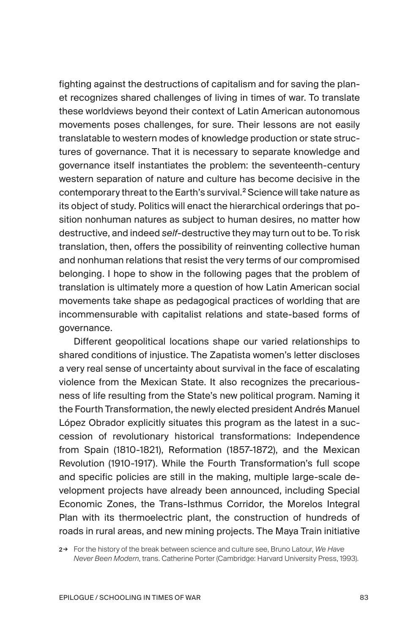fighting against the destructions of capitalism and for saving the planet recognizes shared challenges of living in times of war. To translate these worldviews beyond their context of Latin American autonomous movements poses challenges, for sure. Their lessons are not easily translatable to western modes of knowledge production or state structures of governance. That it is necessary to separate knowledge and governance itself instantiates the problem: the seventeenth-century western separation of nature and culture has become decisive in the contemporary threat to the Earth's survival.<sup>2</sup> Science will take nature as its object of study. Politics will enact the hierarchical orderings that position nonhuman natures as subject to human desires, no matter how destructive, and indeed *self*-destructive they may turn out to be. To risk translation, then, offers the possibility of reinventing collective human and nonhuman relations that resist the very terms of our compromised belonging. I hope to show in the following pages that the problem of translation is ultimately more a question of how Latin American social movements take shape as pedagogical practices of worlding that are incommensurable with capitalist relations and state-based forms of governance.

Different geopolitical locations shape our varied relationships to shared conditions of injustice. The Zapatista women's letter discloses a very real sense of uncertainty about survival in the face of escalating violence from the Mexican State. It also recognizes the precariousness of life resulting from the State's new political program. Naming it the Fourth Transformation, the newly elected president Andrés Manuel López Obrador explicitly situates this program as the latest in a succession of revolutionary historical transformations: Independence from Spain (1810-1821), Reformation (1857-1872), and the Mexican Revolution (1910-1917). While the Fourth Transformation's full scope and specific policies are still in the making, multiple large-scale development projects have already been announced, including Special Economic Zones, the Trans-Isthmus Corridor, the Morelos Integral Plan with its thermoelectric plant, the construction of hundreds of roads in rural areas, and new mining projects. The Maya Train initiative

2→ For the history of the break between science and culture see, Bruno Latour, *We Have Never Been Modern*, trans. Catherine Porter (Cambridge: Harvard University Press, 1993).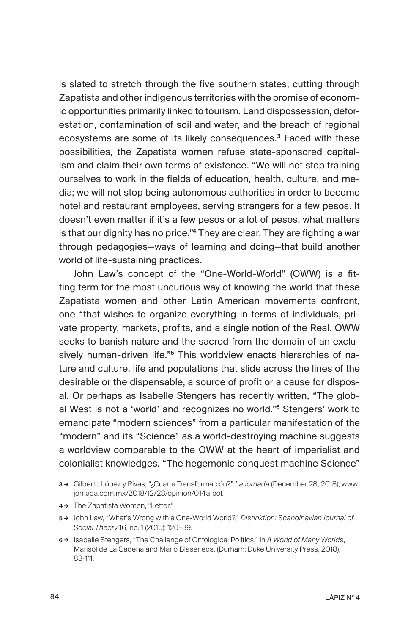is slated to stretch through the five southern states, cutting through Zapatista and other indigenous territories with the promise of economic opportunities primarily linked to tourism. Land dispossession, deforestation, contamination of soil and water, and the breach of regional ecosystems are some of its likely consequences.<sup>3</sup> Faced with these possibilities, the Zapatista women refuse state-sponsored capitalism and claim their own terms of existence. "We will not stop training ourselves to work in the fields of education, health, culture, and media; we will not stop being autonomous authorities in order to become hotel and restaurant employees, serving strangers for a few pesos. It doesn't even matter if it's a few pesos or a lot of pesos, what matters is that our dignity has no price."<sup>4</sup> They are clear. They are fighting a war through pedagogies—ways of learning and doing—that build another world of life-sustaining practices.

John Law's concept of the "One-World-World" (OWW) is a fitting term for the most uncurious way of knowing the world that these Zapatista women and other Latin American movements confront, one "that wishes to organize everything in terms of individuals, private property, markets, profits, and a single notion of the Real. OWW seeks to banish nature and the sacred from the domain of an exclusively human-driven life."<sup>5</sup> This worldview enacts hierarchies of nature and culture, life and populations that slide across the lines of the desirable or the dispensable, a source of profit or a cause for disposal. Or perhaps as Isabelle Stengers has recently written, "The global West is not a 'world' and recognizes no world."<sup>6</sup> Stengers' work to emancipate "modern sciences" from a particular manifestation of the "modern" and its "Science" as a world-destroying machine suggests a worldview comparable to the OWW at the heart of imperialist and colonialist knowledges. "The hegemonic conquest machine Science"

- 4 → The Zapatista Women, "Letter."
- 5 → John Law, "What's Wrong with a One-World World?," *Distinktion: Scandinavian Journal of Social Theory* 16, no. 1 (2015): 126–39.
- 6 → Isabelle Stengers, "The Challenge of Ontological Politics," in *A World of Many Worlds*, Marisol de La Cadena and Mario Blaser eds. (Durham: Duke University Press, 2018), 83-111.

<sup>3</sup> → Gilberto López y Rivas, "¿Cuarta Transformación?" *La Jornada* (December 28, 2018), www. jornada.com.mx/2018/12/28/opinion/014a1pol.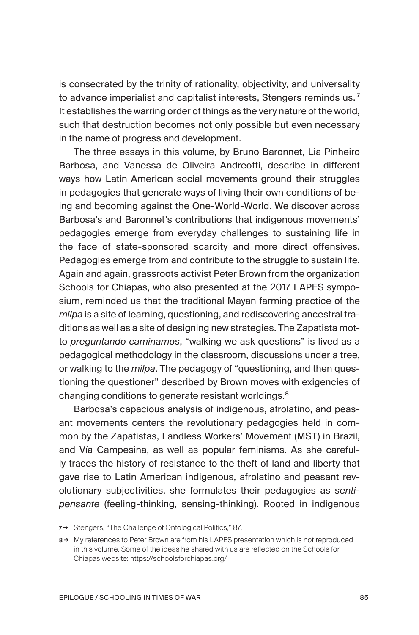is consecrated by the trinity of rationality, objectivity, and universality to advance imperialist and capitalist interests, Stengers reminds us. <sup>7</sup> It establishes the warring order of things as the very nature of the world, such that destruction becomes not only possible but even necessary in the name of progress and development.

The three essays in this volume, by Bruno Baronnet, Lia Pinheiro Barbosa, and Vanessa de Oliveira Andreotti, describe in different ways how Latin American social movements ground their struggles in pedagogies that generate ways of living their own conditions of being and becoming against the One-World-World. We discover across Barbosa's and Baronnet's contributions that indigenous movements' pedagogies emerge from everyday challenges to sustaining life in the face of state-sponsored scarcity and more direct offensives. Pedagogies emerge from and contribute to the struggle to sustain life. Again and again, grassroots activist Peter Brown from the organization Schools for Chiapas, who also presented at the 2017 LAPES symposium, reminded us that the traditional Mayan farming practice of the *milpa* is a site of learning, questioning, and rediscovering ancestral traditions as well as a site of designing new strategies. The Zapatista motto *preguntando caminamos*, "walking we ask questions" is lived as a pedagogical methodology in the classroom, discussions under a tree, or walking to the *milpa*. The pedagogy of "questioning, and then questioning the questioner" described by Brown moves with exigencies of changing conditions to generate resistant worldings.<sup>8</sup>

Barbosa's capacious analysis of indigenous, afrolatino, and peasant movements centers the revolutionary pedagogies held in common by the Zapatistas, Landless Workers' Movement (MST) in Brazil, and Vía Campesina, as well as popular feminisms. As she carefully traces the history of resistance to the theft of land and liberty that gave rise to Latin American indigenous, afrolatino and peasant revolutionary subjectivities, she formulates their pedagogies as *sentipensante* (feeling-thinking, sensing-thinking). Rooted in indigenous

<sup>7→</sup> Stengers, "The Challenge of Ontological Politics," 87.

<sup>8 →</sup> My references to Peter Brown are from his LAPES presentation which is not reproduced in this volume. Some of the ideas he shared with us are reflected on the Schools for Chiapas website: https://schoolsforchiapas.org/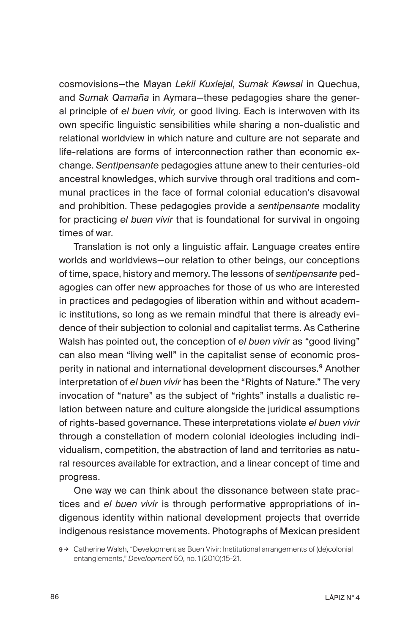cosmovisions—the Mayan *Lekil Kuxlejal*, *Sumak Kawsai* in Quechua, and *Sumak Qamaña* in Aymara—these pedagogies share the general principle of *el buen vivir,* or good living. Each is interwoven with its own specific linguistic sensibilities while sharing a non-dualistic and relational worldview in which nature and culture are not separate and life-relations are forms of interconnection rather than economic exchange. *Sentipensante* pedagogies attune anew to their centuries-old ancestral knowledges, which survive through oral traditions and communal practices in the face of formal colonial education's disavowal and prohibition. These pedagogies provide a *sentipensante* modality for practicing *el buen vivir* that is foundational for survival in ongoing times of war.

Translation is not only a linguistic affair. Language creates entire worlds and worldviews—our relation to other beings, our conceptions of time, space, history and memory. The lessons of *sentipensante* pedagogies can offer new approaches for those of us who are interested in practices and pedagogies of liberation within and without academic institutions, so long as we remain mindful that there is already evidence of their subjection to colonial and capitalist terms. As Catherine Walsh has pointed out, the conception of *el buen vivir* as "good living" can also mean "living well" in the capitalist sense of economic prosperity in national and international development discourses.<sup>9</sup> Another interpretation of *el buen vivir* has been the "Rights of Nature." The very invocation of "nature" as the subject of "rights" installs a dualistic relation between nature and culture alongside the juridical assumptions of rights-based governance. These interpretations violate *el buen vivir* through a constellation of modern colonial ideologies including individualism, competition, the abstraction of land and territories as natural resources available for extraction, and a linear concept of time and progress.

One way we can think about the dissonance between state practices and *el buen vivir* is through performative appropriations of indigenous identity within national development projects that override indigenous resistance movements. Photographs of Mexican president

<sup>9→</sup> Catherine Walsh, "Development as Buen Vivir: Institutional arrangements of (de)colonial entanglements," *Development* 50, no. 1 (2010):15-21.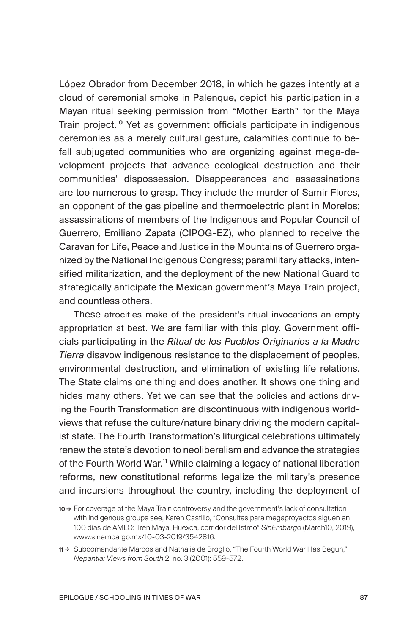López Obrador from December 2018, in which he gazes intently at a cloud of ceremonial smoke in Palenque, depict his participation in a Mayan ritual seeking permission from "Mother Earth" for the Maya Train project.<sup>10</sup> Yet as government officials participate in indigenous ceremonies as a merely cultural gesture, calamities continue to befall subjugated communities who are organizing against mega-development projects that advance ecological destruction and their communities' dispossession. Disappearances and assassinations are too numerous to grasp. They include the murder of Samir Flores, an opponent of the gas pipeline and thermoelectric plant in Morelos; assassinations of members of the Indigenous and Popular Council of Guerrero, Emiliano Zapata (CIPOG-EZ), who planned to receive the Caravan for Life, Peace and Justice in the Mountains of Guerrero organized by the National Indigenous Congress; paramilitary attacks, intensified militarization, and the deployment of the new National Guard to strategically anticipate the Mexican government's Maya Train project, and countless others.

These atrocities make of the president's ritual invocations an empty appropriation at best. We are familiar with this ploy. Government officials participating in the *Ritual de los Pueblos Originarios a la Madre Tierra* disavow indigenous resistance to the displacement of peoples, environmental destruction, and elimination of existing life relations. The State claims one thing and does another. It shows one thing and hides many others. Yet we can see that the policies and actions driving the Fourth Transformation are discontinuous with indigenous worldviews that refuse the culture/nature binary driving the modern capitalist state. The Fourth Transformation's liturgical celebrations ultimately renew the state's devotion to neoliberalism and advance the strategies of the Fourth World War.<sup>11</sup> While claiming a legacy of national liberation reforms, new constitutional reforms legalize the military's presence and incursions throughout the country, including the deployment of

<sup>10 →</sup> For coverage of the Maya Train controversy and the government's lack of consultation with indigenous groups see, Karen Castillo, "Consultas para megaproyectos siguen en 100 días de AMLO: Tren Maya, Huexca, corridor del Istmo" *SinEmbargo* (March10, 2019), www.sinembargo.mx/10-03-2019/3542816.

<sup>11 →</sup> Subcomandante Marcos and Nathalie de Broglio, "The Fourth World War Has Begun," *Nepantla: Views from South* 2, no. 3 (2001): 559-572.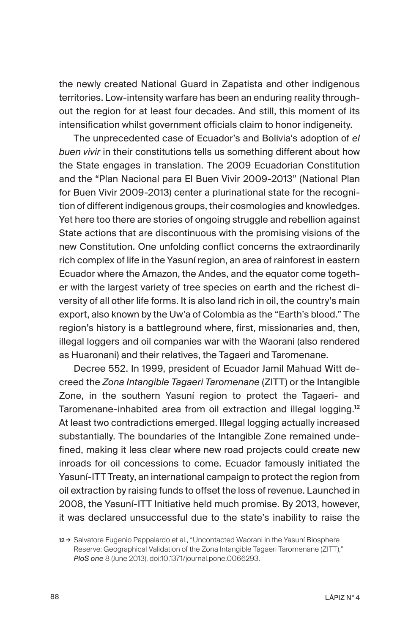the newly created National Guard in Zapatista and other indigenous territories. Low-intensity warfare has been an enduring reality throughout the region for at least four decades. And still, this moment of its intensification whilst government officials claim to honor indigeneity.

The unprecedented case of Ecuador's and Bolivia's adoption of *el buen vivir* in their constitutions tells us something different about how the State engages in translation. The 2009 Ecuadorian Constitution and the "Plan Nacional para El Buen Vivir 2009-2013" (National Plan for Buen Vivir 2009-2013) center a plurinational state for the recognition of different indigenous groups, their cosmologies and knowledges. Yet here too there are stories of ongoing struggle and rebellion against State actions that are discontinuous with the promising visions of the new Constitution. One unfolding conflict concerns the extraordinarily rich complex of life in the Yasuní region, an area of rainforest in eastern Ecuador where the Amazon, the Andes, and the equator come together with the largest variety of tree species on earth and the richest diversity of all other life forms. It is also land rich in oil, the country's main export, also known by the Uw'a of Colombia as the "Earth's blood." The region's history is a battleground where, first, missionaries and, then, illegal loggers and oil companies war with the Waorani (also rendered as Huaronani) and their relatives, the Tagaeri and Taromenane.

Decree 552. In 1999, president of Ecuador Jamil Mahuad Witt decreed the *Zona Intangible Tagaeri Taromenane* (ZITT) or the Intangible Zone, in the southern Yasuní region to protect the Tagaeri- and Taromenane-inhabited area from oil extraction and illegal logging.<sup>12</sup> At least two contradictions emerged. Illegal logging actually increased substantially. The boundaries of the Intangible Zone remained undefined, making it less clear where new road projects could create new inroads for oil concessions to come. Ecuador famously initiated the Yasuní-ITT Treaty, an international campaign to protect the region from oil extraction by raising funds to offset the loss of revenue. Launched in 2008, the Yasuní-ITT Initiative held much promise. By 2013, however, it was declared unsuccessful due to the state's inability to raise the

<sup>12→</sup> Salvatore Eugenio Pappalardo et al., "Uncontacted Waorani in the Yasuní Biosphere Reserve: Geographical Validation of the Zona Intangible Tagaeri Taromenane (ZITT)," *PloS one* 8 (June 2013), doi:10.1371/journal.pone.0066293.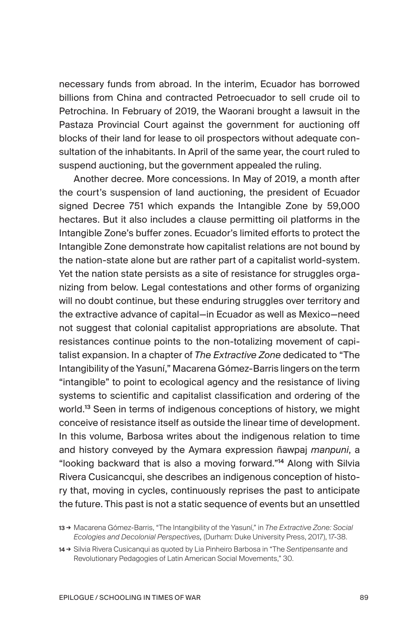necessary funds from abroad. In the interim, Ecuador has borrowed billions from China and contracted Petroecuador to sell crude oil to Petrochina. In February of 2019, the Waorani brought a lawsuit in the Pastaza Provincial Court against the government for auctioning off blocks of their land for lease to oil prospectors without adequate consultation of the inhabitants. In April of the same year, the court ruled to suspend auctioning, but the government appealed the ruling.

Another decree. More concessions. In May of 2019, a month after the court's suspension of land auctioning, the president of Ecuador signed Decree 751 which expands the Intangible Zone by 59,000 hectares. But it also includes a clause permitting oil platforms in the Intangible Zone's buffer zones. Ecuador's limited efforts to protect the Intangible Zone demonstrate how capitalist relations are not bound by the nation-state alone but are rather part of a capitalist world-system. Yet the nation state persists as a site of resistance for struggles organizing from below. Legal contestations and other forms of organizing will no doubt continue, but these enduring struggles over territory and the extractive advance of capital—in Ecuador as well as Mexico—need not suggest that colonial capitalist appropriations are absolute. That resistances continue points to the non-totalizing movement of capitalist expansion. In a chapter of *The Extractive Zone* dedicated to "The Intangibility of the Yasuní," Macarena Gómez-Barris lingers on the term "intangible" to point to ecological agency and the resistance of living systems to scientific and capitalist classification and ordering of the world.<sup>13</sup> Seen in terms of indigenous conceptions of history, we might conceive of resistance itself as outside the linear time of development. In this volume, Barbosa writes about the indigenous relation to time and history conveyed by the Aymara expression ñawpaj *manpuni*, a "looking backward that is also a moving forward."<sup>14</sup> Along with Silvia Rivera Cusicancqui, she describes an indigenous conception of history that, moving in cycles, continuously reprises the past to anticipate the future. This past is not a static sequence of events but an unsettled

<sup>13</sup> → Macarena Gómez-Barris, "The Intangibility of the Yasuní," in *The Extractive Zone: Social Ecologies and Decolonial Perspectives,* (Durham: Duke University Press, 2017), 17-38.

<sup>14</sup> → Silvia Rivera Cusicanqui as quoted by Lia Pinheiro Barbosa in "The *Sentipensante* and Revolutionary Pedagogies of Latin American Social Movements," 30.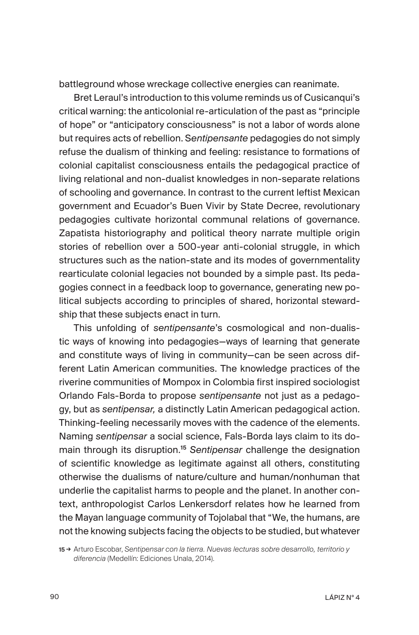battleground whose wreckage collective energies can reanimate.

Bret Leraul's introduction to this volume reminds us of Cusicanqui's critical warning: the anticolonial re-articulation of the past as "principle of hope" or "anticipatory consciousness" is not a labor of words alone but requires acts of rebellion. S*entipensante* pedagogies do not simply refuse the dualism of thinking and feeling: resistance to formations of colonial capitalist consciousness entails the pedagogical practice of living relational and non-dualist knowledges in non-separate relations of schooling and governance. In contrast to the current leftist Mexican government and Ecuador's Buen Vivir by State Decree, revolutionary pedagogies cultivate horizontal communal relations of governance. Zapatista historiography and political theory narrate multiple origin stories of rebellion over a 500-year anti-colonial struggle, in which structures such as the nation-state and its modes of governmentality rearticulate colonial legacies not bounded by a simple past. Its pedagogies connect in a feedback loop to governance, generating new political subjects according to principles of shared, horizontal stewardship that these subjects enact in turn.

This unfolding of *sentipensante*'s cosmological and non-dualistic ways of knowing into pedagogies—ways of learning that generate and constitute ways of living in community—can be seen across different Latin American communities. The knowledge practices of the riverine communities of Mompox in Colombia first inspired sociologist Orlando Fals-Borda to propose *sentipensante* not just as a pedagogy, but as *sentipensar,* a distinctly Latin American pedagogical action. Thinking-feeling necessarily moves with the cadence of the elements. Naming *sentipensar* a social science, Fals-Borda lays claim to its domain through its disruption.<sup>15</sup> *Sentipensar* challenge the designation of scientific knowledge as legitimate against all others, constituting otherwise the dualisms of nature/culture and human/nonhuman that underlie the capitalist harms to people and the planet. In another context, anthropologist Carlos Lenkersdorf relates how he learned from the Mayan language community of Tojolabal that "We, the humans, are not the knowing subjects facing the objects to be studied, but whatever

15 → Arturo Escobar, *Sentipensar con la tierra. Nuevas lecturas sobre desarrollo, territorio y diferencia* (Medellín: Ediciones Unala, 2014).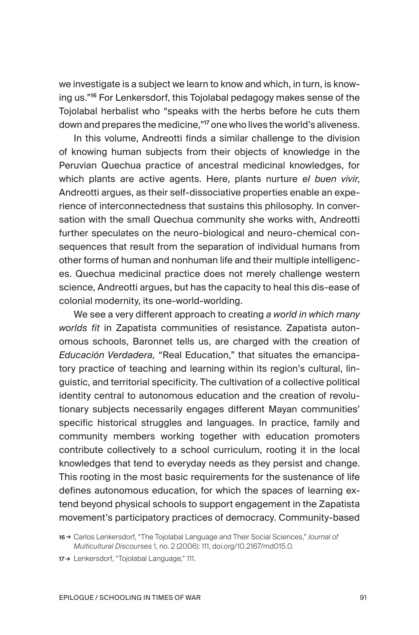we investigate is a subject we learn to know and which, in turn, is knowing us."<sup>16</sup> For Lenkersdorf, this Tojolabal pedagogy makes sense of the Tojolabal herbalist who "speaks with the herbs before he cuts them down and prepares the medicine,"<sup>17</sup> one who lives the world's aliveness.

In this volume, Andreotti finds a similar challenge to the division of knowing human subjects from their objects of knowledge in the Peruvian Quechua practice of ancestral medicinal knowledges, for which plants are active agents. Here, plants nurture *el buen vivir*, Andreotti argues, as their self-dissociative properties enable an experience of interconnectedness that sustains this philosophy*.* In conversation with the small Quechua community she works with, Andreotti further speculates on the neuro-biological and neuro-chemical consequences that result from the separation of individual humans from other forms of human and nonhuman life and their multiple intelligences. Quechua medicinal practice does not merely challenge western science, Andreotti argues, but has the capacity to heal this dis-ease of colonial modernity, its one-world-worlding.

We see a very different approach to creating *a world in which many worlds fit* in Zapatista communities of resistance. Zapatista autonomous schools, Baronnet tells us, are charged with the creation of *Educación Verdadera,* "Real Education," that situates the emancipatory practice of teaching and learning within its region's cultural, linguistic, and territorial specificity. The cultivation of a collective political identity central to autonomous education and the creation of revolutionary subjects necessarily engages different Mayan communities' specific historical struggles and languages. In practice, family and community members working together with education promoters contribute collectively to a school curriculum, rooting it in the local knowledges that tend to everyday needs as they persist and change. This rooting in the most basic requirements for the sustenance of life defines autonomous education, for which the spaces of learning extend beyond physical schools to support engagement in the Zapatista movement's participatory practices of democracy. Community-based

<sup>16</sup> → Carlos Lenkersdorf, "The Tojolabal Language and Their Social Sciences," *Journal of Multicultural Discourses* 1, no. 2 (2006): 111, doi.org/10.2167/md015.0.

<sup>17→</sup> Lenkersdorf, "Tojolabal Language," 111.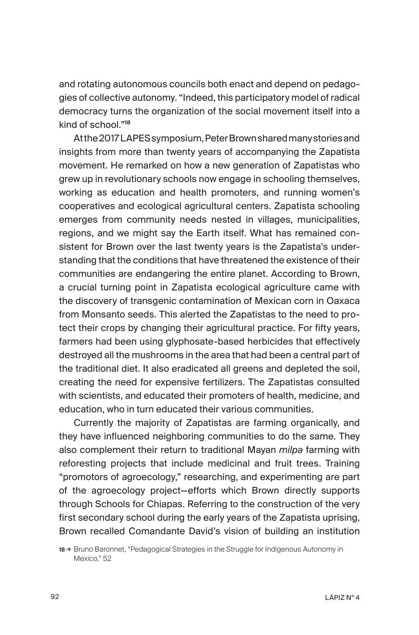and rotating autonomous councils both enact and depend on pedagogies of collective autonomy. "Indeed, this participatory model of radical democracy turns the organization of the social movement itself into a kind of school."<sup>18</sup>

At the 2017 LAPES symposium, Peter Brown shared many stories and insights from more than twenty years of accompanying the Zapatista movement. He remarked on how a new generation of Zapatistas who grew up in revolutionary schools now engage in schooling themselves, working as education and health promoters, and running women's cooperatives and ecological agricultural centers. Zapatista schooling emerges from community needs nested in villages, municipalities, regions, and we might say the Earth itself. What has remained consistent for Brown over the last twenty years is the Zapatista's understanding that the conditions that have threatened the existence of their communities are endangering the entire planet. According to Brown, a crucial turning point in Zapatista ecological agriculture came with the discovery of transgenic contamination of Mexican corn in Oaxaca from Monsanto seeds. This alerted the Zapatistas to the need to protect their crops by changing their agricultural practice. For fifty years, farmers had been using glyphosate-based herbicides that effectively destroyed all the mushrooms in the area that had been a central part of the traditional diet. It also eradicated all greens and depleted the soil, creating the need for expensive fertilizers. The Zapatistas consulted with scientists, and educated their promoters of health, medicine, and education, who in turn educated their various communities.

Currently the majority of Zapatistas are farming organically, and they have influenced neighboring communities to do the same. They also complement their return to traditional Mayan *milpa* farming with reforesting projects that include medicinal and fruit trees. Training "promotors of agroecology," researching, and experimenting are part of the agroecology project—efforts which Brown directly supports through Schools for Chiapas. Referring to the construction of the very first secondary school during the early years of the Zapatista uprising, Brown recalled Comandante David's vision of building an institution

18 → Bruno Baronnet, "Pedagogical Strategies in the Struggle for Indigenous Autonomy in Mexico," 52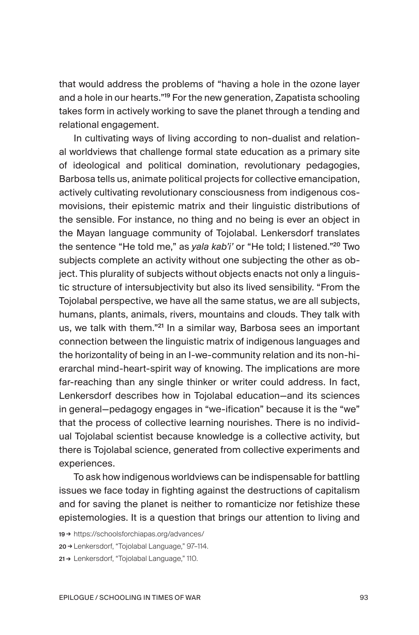that would address the problems of "having a hole in the ozone layer and a hole in our hearts."<sup>19</sup> For the new generation, Zapatista schooling takes form in actively working to save the planet through a tending and relational engagement.

In cultivating ways of living according to non-dualist and relational worldviews that challenge formal state education as a primary site of ideological and political domination, revolutionary pedagogies, Barbosa tells us, animate political projects for collective emancipation, actively cultivating revolutionary consciousness from indigenous cosmovisions, their epistemic matrix and their linguistic distributions of the sensible. For instance, no thing and no being is ever an object in the Mayan language community of Tojolabal. Lenkersdorf translates the sentence "He told me," as *yala kab'i'* or "He told; I listened."<sup>20</sup> Two subjects complete an activity without one subjecting the other as object. This plurality of subjects without objects enacts not only a linguistic structure of intersubjectivity but also its lived sensibility. "From the Tojolabal perspective, we have all the same status, we are all subjects, humans, plants, animals, rivers, mountains and clouds. They talk with us, we talk with them."<sup>21</sup> In a similar way, Barbosa sees an important connection between the linguistic matrix of indigenous languages and the horizontality of being in an I-we-community relation and its non-hierarchal mind-heart-spirit way of knowing. The implications are more far-reaching than any single thinker or writer could address. In fact, Lenkersdorf describes how in Tojolabal education—and its sciences in general—pedagogy engages in "we-ification" because it is the "we" that the process of collective learning nourishes. There is no individual Tojolabal scientist because knowledge is a collective activity, but there is Tojolabal science, generated from collective experiments and experiences.

To ask how indigenous worldviews can be indispensable for battling issues we face today in fighting against the destructions of capitalism and for saving the planet is neither to romanticize nor fetishize these epistemologies. It is a question that brings our attention to living and

20 → Lenkersdorf, "Tojolabal Language," 97–114.

<sup>19</sup> → https://schoolsforchiapas.org/advances/

<sup>21→</sup> Lenkersdorf, "Tojolabal Language," 110.